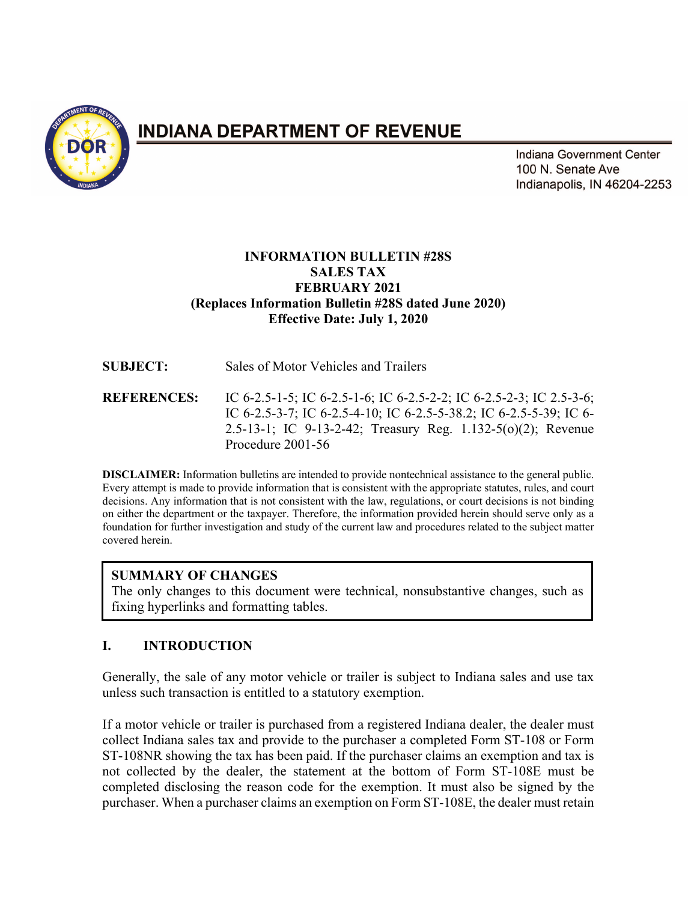

# **INDIANA DEPARTMENT OF REVENUE**

Indiana Government Center 100 N. Senate Ave Indianapolis, IN 46204-2253

## **INFORMATION BULLETIN #28S SALES TAX FEBRUARY 2021 (Replaces Information Bulletin #28S dated June 2020) Effective Date: July 1, 2020**

| <b>SUBJECT:</b>    | Sales of Motor Vehicles and Trailers                                                                                                                                                                                           |
|--------------------|--------------------------------------------------------------------------------------------------------------------------------------------------------------------------------------------------------------------------------|
| <b>REFERENCES:</b> | IC 6-2.5-1-5; IC 6-2.5-1-6; IC 6-2.5-2-2; IC 6-2.5-2-3; IC 2.5-3-6;<br>IC 6-2.5-3-7; IC 6-2.5-4-10; IC 6-2.5-5-38.2; IC 6-2.5-5-39; IC 6-<br>2.5-13-1; IC 9-13-2-42; Treasury Reg. 1.132-5(o)(2); Revenue<br>Procedure 2001-56 |

**DISCLAIMER:** Information bulletins are intended to provide nontechnical assistance to the general public. Every attempt is made to provide information that is consistent with the appropriate statutes, rules, and court decisions. Any information that is not consistent with the law, regulations, or court decisions is not binding on either the department or the taxpayer. Therefore, the information provided herein should serve only as a foundation for further investigation and study of the current law and procedures related to the subject matter covered herein.

# **SUMMARY OF CHANGES**

The only changes to this document were technical, nonsubstantive changes, such as fixing hyperlinks and formatting tables.

# **I. INTRODUCTION**

Generally, the sale of any motor vehicle or trailer is subject to Indiana sales and use tax unless such transaction is entitled to a statutory exemption.

If a motor vehicle or trailer is purchased from a registered Indiana dealer, the dealer must collect Indiana sales tax and provide to the purchaser a completed Form ST-108 or Form ST-108NR showing the tax has been paid. If the purchaser claims an exemption and tax is not collected by the dealer, the statement at the bottom of Form ST-108E must be completed disclosing the reason code for the exemption. It must also be signed by the purchaser. When a purchaser claims an exemption on Form ST-108E, the dealer must retain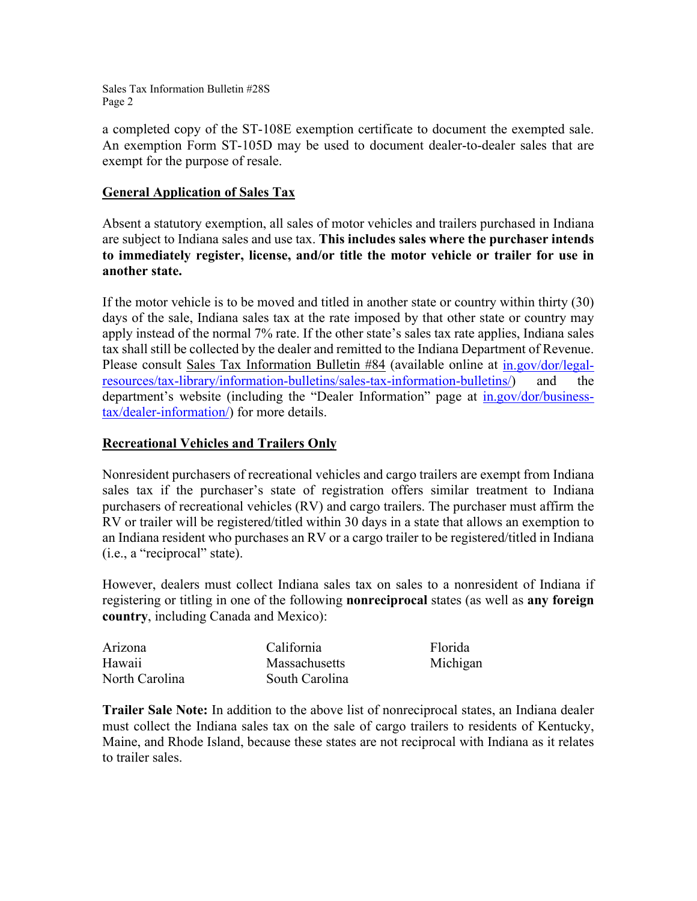a completed copy of the ST-108E exemption certificate to document the exempted sale. An exemption Form ST-105D may be used to document dealer-to-dealer sales that are exempt for the purpose of resale.

#### **General Application of Sales Tax**

Absent a statutory exemption, all sales of motor vehicles and trailers purchased in Indiana are subject to Indiana sales and use tax. **This includes sales where the purchaser intends to immediately register, license, and/or title the motor vehicle or trailer for use in another state.**

If the motor vehicle is to be moved and titled in another state or country within thirty (30) days of the sale, Indiana sales tax at the rate imposed by that other state or country may apply instead of the normal 7% rate. If the other state's sales tax rate applies, Indiana sales tax shall still be collected by the dealer and remitted to the Indiana Department of Revenue. Please consult Sales Tax Information Bulletin #84 (available online at [in.gov/dor/legal](https://www.in.gov/dor/legal-resources/tax-library/information-bulletins/sales-tax-information-bulletins/)[resources/tax-library/information-bulletins/sales-tax-information-bulletins/\)](https://www.in.gov/dor/legal-resources/tax-library/information-bulletins/sales-tax-information-bulletins/) and the department's website (including the "Dealer Information" page at [in.gov/dor/business](https://www.in.gov/dor/business-tax/dealer-information/)[tax/dealer-information/\)](https://www.in.gov/dor/business-tax/dealer-information/) for more details.

## **Recreational Vehicles and Trailers Only**

Nonresident purchasers of recreational vehicles and cargo trailers are exempt from Indiana sales tax if the purchaser's state of registration offers similar treatment to Indiana purchasers of recreational vehicles (RV) and cargo trailers. The purchaser must affirm the RV or trailer will be registered/titled within 30 days in a state that allows an exemption to an Indiana resident who purchases an RV or a cargo trailer to be registered/titled in Indiana (i.e., a "reciprocal" state).

However, dealers must collect Indiana sales tax on sales to a nonresident of Indiana if registering or titling in one of the following **nonreciprocal** states (as well as **any foreign country**, including Canada and Mexico):

| Arizona        | California           | Florida  |
|----------------|----------------------|----------|
| Hawaii         | <b>Massachusetts</b> | Michigan |
| North Carolina | South Carolina       |          |

**Trailer Sale Note:** In addition to the above list of nonreciprocal states, an Indiana dealer must collect the Indiana sales tax on the sale of cargo trailers to residents of Kentucky, Maine, and Rhode Island, because these states are not reciprocal with Indiana as it relates to trailer sales.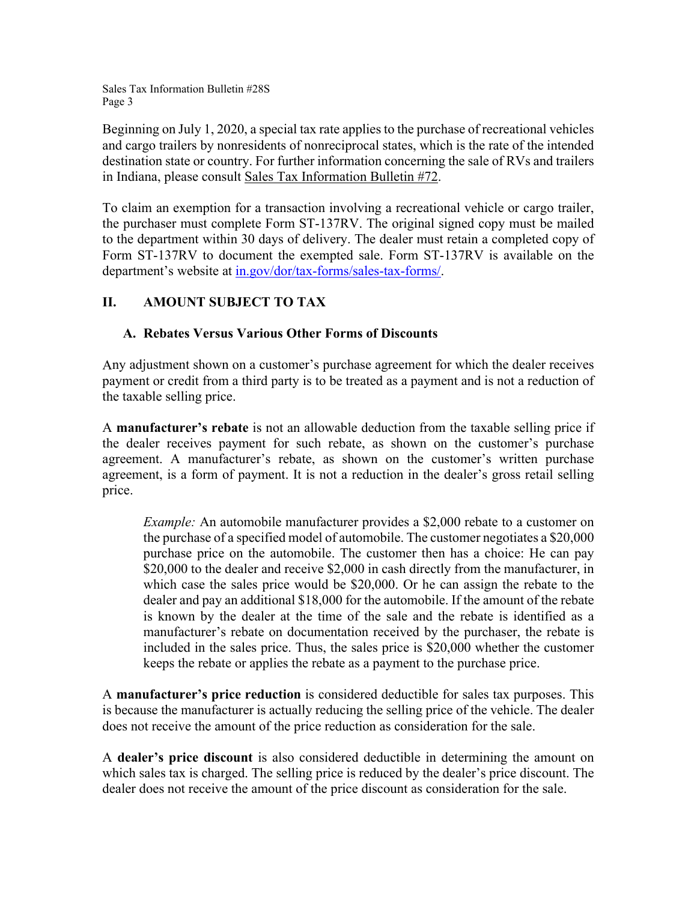Beginning on July 1, 2020, a special tax rate applies to the purchase of recreational vehicles and cargo trailers by nonresidents of nonreciprocal states, which is the rate of the intended destination state or country. For further information concerning the sale of RVs and trailers in Indiana, please consult Sales Tax Information Bulletin #72.

To claim an exemption for a transaction involving a recreational vehicle or cargo trailer, the purchaser must complete Form ST-137RV. The original signed copy must be mailed to the department within 30 days of delivery. The dealer must retain a completed copy of Form ST-137RV to document the exempted sale. Form ST-137RV is available on the department's website at [in.gov/dor/tax-forms/sales-tax-forms/.](https://www.in.gov/dor/tax-forms/sales-tax-forms/)

# **II. AMOUNT SUBJECT TO TAX**

## **A. Rebates Versus Various Other Forms of Discounts**

Any adjustment shown on a customer's purchase agreement for which the dealer receives payment or credit from a third party is to be treated as a payment and is not a reduction of the taxable selling price.

A **manufacturer's rebate** is not an allowable deduction from the taxable selling price if the dealer receives payment for such rebate, as shown on the customer's purchase agreement. A manufacturer's rebate, as shown on the customer's written purchase agreement, is a form of payment. It is not a reduction in the dealer's gross retail selling price.

*Example:* An automobile manufacturer provides a \$2,000 rebate to a customer on the purchase of a specified model of automobile. The customer negotiates a \$20,000 purchase price on the automobile. The customer then has a choice: He can pay \$20,000 to the dealer and receive \$2,000 in cash directly from the manufacturer, in which case the sales price would be \$20,000. Or he can assign the rebate to the dealer and pay an additional \$18,000 for the automobile. If the amount of the rebate is known by the dealer at the time of the sale and the rebate is identified as a manufacturer's rebate on documentation received by the purchaser, the rebate is included in the sales price. Thus, the sales price is \$20,000 whether the customer keeps the rebate or applies the rebate as a payment to the purchase price.

A **manufacturer's price reduction** is considered deductible for sales tax purposes. This is because the manufacturer is actually reducing the selling price of the vehicle. The dealer does not receive the amount of the price reduction as consideration for the sale.

A **dealer's price discount** is also considered deductible in determining the amount on which sales tax is charged. The selling price is reduced by the dealer's price discount. The dealer does not receive the amount of the price discount as consideration for the sale.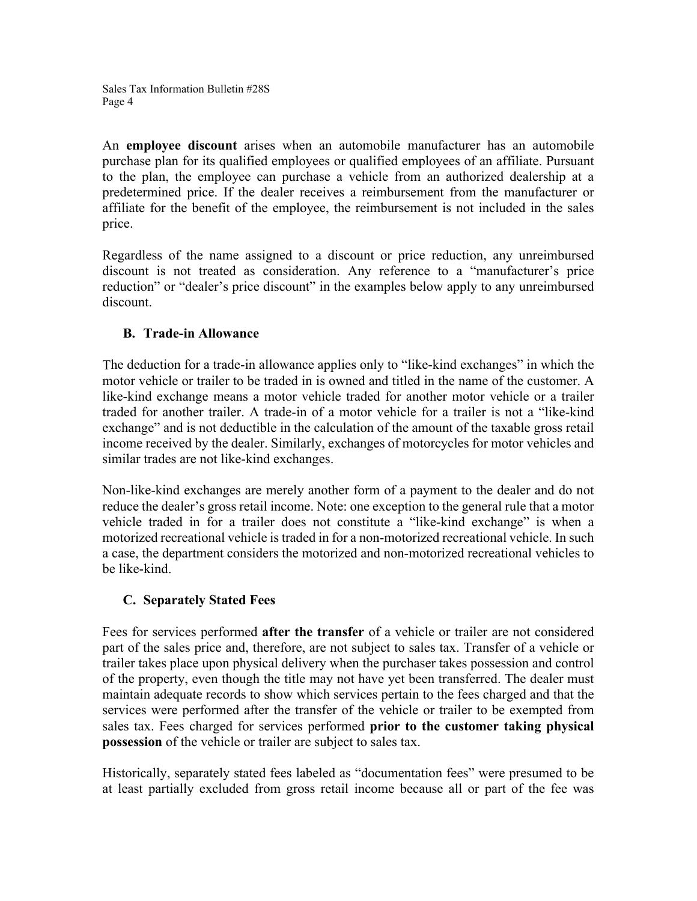An **employee discount** arises when an automobile manufacturer has an automobile purchase plan for its qualified employees or qualified employees of an affiliate. Pursuant to the plan, the employee can purchase a vehicle from an authorized dealership at a predetermined price. If the dealer receives a reimbursement from the manufacturer or affiliate for the benefit of the employee, the reimbursement is not included in the sales price.

Regardless of the name assigned to a discount or price reduction, any unreimbursed discount is not treated as consideration. Any reference to a "manufacturer's price reduction" or "dealer's price discount" in the examples below apply to any unreimbursed discount.

## **B. Trade-in Allowance**

The deduction for a trade-in allowance applies only to "like-kind exchanges" in which the motor vehicle or trailer to be traded in is owned and titled in the name of the customer. A like-kind exchange means a motor vehicle traded for another motor vehicle or a trailer traded for another trailer. A trade-in of a motor vehicle for a trailer is not a "like-kind exchange" and is not deductible in the calculation of the amount of the taxable gross retail income received by the dealer. Similarly, exchanges of motorcycles for motor vehicles and similar trades are not like-kind exchanges.

Non-like-kind exchanges are merely another form of a payment to the dealer and do not reduce the dealer's gross retail income. Note: one exception to the general rule that a motor vehicle traded in for a trailer does not constitute a "like-kind exchange" is when a motorized recreational vehicle is traded in for a non-motorized recreational vehicle. In such a case, the department considers the motorized and non-motorized recreational vehicles to be like-kind.

# **C. Separately Stated Fees**

Fees for services performed **after the transfer** of a vehicle or trailer are not considered part of the sales price and, therefore, are not subject to sales tax. Transfer of a vehicle or trailer takes place upon physical delivery when the purchaser takes possession and control of the property, even though the title may not have yet been transferred. The dealer must maintain adequate records to show which services pertain to the fees charged and that the services were performed after the transfer of the vehicle or trailer to be exempted from sales tax. Fees charged for services performed **prior to the customer taking physical possession** of the vehicle or trailer are subject to sales tax.

Historically, separately stated fees labeled as "documentation fees" were presumed to be at least partially excluded from gross retail income because all or part of the fee was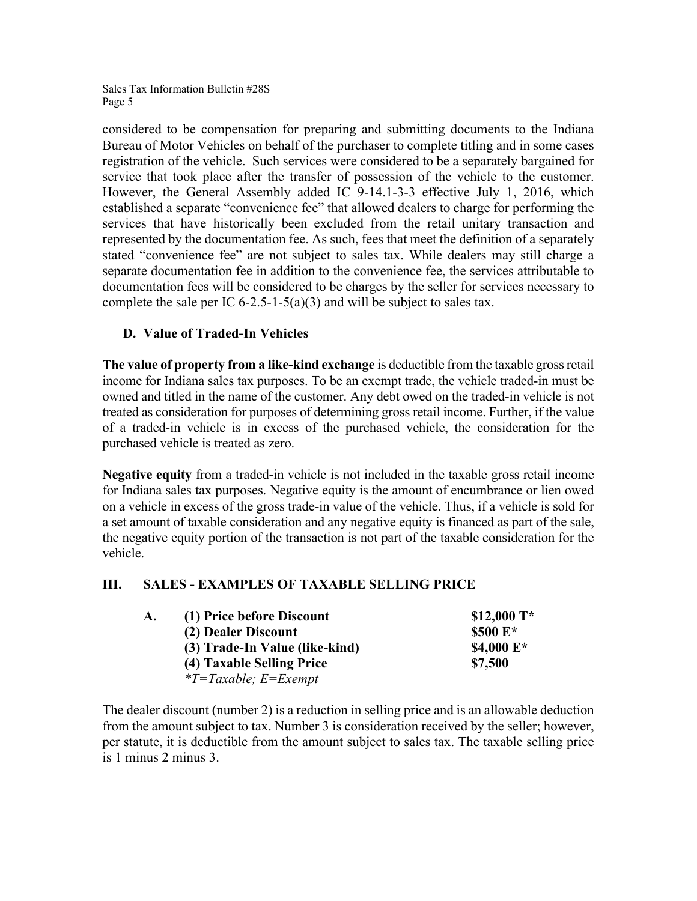considered to be compensation for preparing and submitting documents to the Indiana Bureau of Motor Vehicles on behalf of the purchaser to complete titling and in some cases registration of the vehicle. Such services were considered to be a separately bargained for service that took place after the transfer of possession of the vehicle to the customer. However, the General Assembly added IC 9-14.1-3-3 effective July 1, 2016, which established a separate "convenience fee" that allowed dealers to charge for performing the services that have historically been excluded from the retail unitary transaction and represented by the documentation fee. As such, fees that meet the definition of a separately stated "convenience fee" are not subject to sales tax. While dealers may still charge a separate documentation fee in addition to the convenience fee, the services attributable to documentation fees will be considered to be charges by the seller for services necessary to complete the sale per IC  $6-2.5-1-5(a)(3)$  and will be subject to sales tax.

## **D. Value of Traded-In Vehicles**

**The value of property from a like-kind exchange** is deductible from the taxable gross retail income for Indiana sales tax purposes. To be an exempt trade, the vehicle traded-in must be owned and titled in the name of the customer. Any debt owed on the traded-in vehicle is not treated as consideration for purposes of determining gross retail income. Further, if the value of a traded-in vehicle is in excess of the purchased vehicle, the consideration for the purchased vehicle is treated as zero.

**Negative equity** from a traded-in vehicle is not included in the taxable gross retail income for Indiana sales tax purposes. Negative equity is the amount of encumbrance or lien owed on a vehicle in excess of the gross trade-in value of the vehicle. Thus, if a vehicle is sold for a set amount of taxable consideration and any negative equity is financed as part of the sale, the negative equity portion of the transaction is not part of the taxable consideration for the vehicle.

#### **III. SALES - EXAMPLES OF TAXABLE SELLING PRICE**

| A. | (1) Price before Discount      | $$12,000$ T*  |
|----|--------------------------------|---------------|
|    | (2) Dealer Discount            | \$500 E*      |
|    | (3) Trade-In Value (like-kind) | \$4,000 $E^*$ |
|    | (4) Taxable Selling Price      | \$7,500       |
|    | $*T = Taxable; E = Exempt$     |               |

The dealer discount (number 2) is a reduction in selling price and is an allowable deduction from the amount subject to tax. Number 3 is consideration received by the seller; however, per statute, it is deductible from the amount subject to sales tax. The taxable selling price is 1 minus 2 minus 3.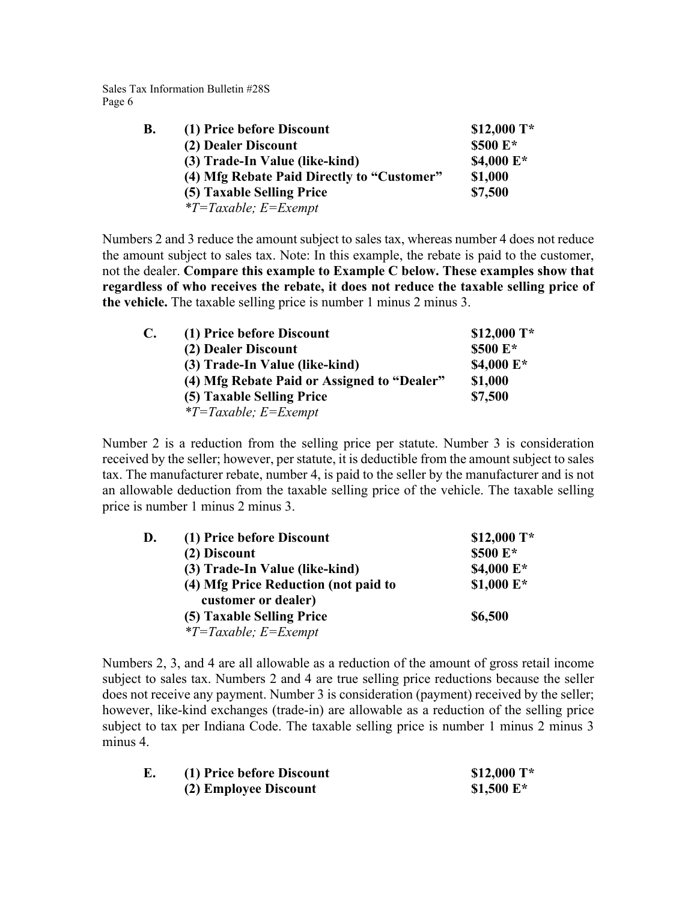| B. | (1) Price before Discount                  | $$12,000$ T*  |
|----|--------------------------------------------|---------------|
|    | (2) Dealer Discount                        | \$500 E*      |
|    | (3) Trade-In Value (like-kind)             | \$4,000 $E^*$ |
|    | (4) Mfg Rebate Paid Directly to "Customer" | \$1,000       |
|    | (5) Taxable Selling Price                  | \$7,500       |
|    | $*T = Taxable; E = Exempt$                 |               |

Numbers 2 and 3 reduce the amount subject to sales tax, whereas number 4 does not reduce the amount subject to sales tax. Note: In this example, the rebate is paid to the customer, not the dealer. **Compare this example to Example C below. These examples show that regardless of who receives the rebate, it does not reduce the taxable selling price of the vehicle.** The taxable selling price is number 1 minus 2 minus 3.

| C. | (1) Price before Discount                   | $$12,000$ T* |
|----|---------------------------------------------|--------------|
|    | (2) Dealer Discount                         | \$500 E*     |
|    | (3) Trade-In Value (like-kind)              | \$4,000 E*   |
|    | (4) Mfg Rebate Paid or Assigned to "Dealer" | \$1,000      |
|    | (5) Taxable Selling Price                   | \$7,500      |
|    | $*T = Taxable; E = Exempt$                  |              |

Number 2 is a reduction from the selling price per statute. Number 3 is consideration received by the seller; however, per statute, it is deductible from the amount subject to sales tax. The manufacturer rebate, number 4, is paid to the seller by the manufacturer and is not an allowable deduction from the taxable selling price of the vehicle. The taxable selling price is number 1 minus 2 minus 3.

| D. | (1) Price before Discount            | $$12,000$ T* |
|----|--------------------------------------|--------------|
|    | (2) Discount                         | \$500 E*     |
|    | (3) Trade-In Value (like-kind)       | \$4,000 E*   |
|    | (4) Mfg Price Reduction (not paid to | $$1,000 E*$  |
|    | customer or dealer)                  |              |
|    | (5) Taxable Selling Price            | \$6,500      |
|    | $*T = Taxable; E = Exempt$           |              |

Numbers 2, 3, and 4 are all allowable as a reduction of the amount of gross retail income subject to sales tax. Numbers 2 and 4 are true selling price reductions because the seller does not receive any payment. Number 3 is consideration (payment) received by the seller; however, like-kind exchanges (trade-in) are allowable as a reduction of the selling price subject to tax per Indiana Code. The taxable selling price is number 1 minus 2 minus 3 minus 4.

| E. | (1) Price before Discount | $$12,000$ T*  |
|----|---------------------------|---------------|
|    | (2) Employee Discount     | \$1,500 $E^*$ |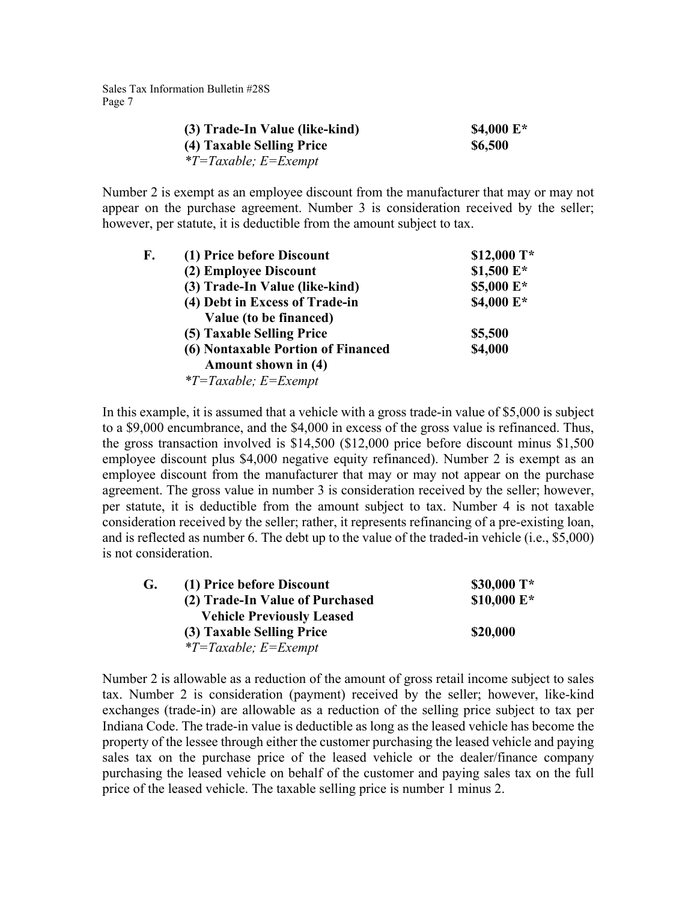| (3) Trade-In Value (like-kind) | \$4,000 $E^*$ |
|--------------------------------|---------------|
| (4) Taxable Selling Price      | \$6,500       |
| $*T = Taxable; E = Exempt$     |               |

Number 2 is exempt as an employee discount from the manufacturer that may or may not appear on the purchase agreement. Number 3 is consideration received by the seller; however, per statute, it is deductible from the amount subject to tax.

| F. | (1) Price before Discount          | \$12,000 T* |
|----|------------------------------------|-------------|
|    | (2) Employee Discount              | \$1,500 E*  |
|    | (3) Trade-In Value (like-kind)     | \$5,000 E*  |
|    | (4) Debt in Excess of Trade-in     | \$4,000 E*  |
|    | Value (to be financed)             |             |
|    | (5) Taxable Selling Price          | \$5,500     |
|    | (6) Nontaxable Portion of Financed | \$4,000     |
|    | Amount shown in (4)                |             |
|    | $*T = Taxable; E = Exempt$         |             |

In this example, it is assumed that a vehicle with a gross trade-in value of \$5,000 is subject to a \$9,000 encumbrance, and the \$4,000 in excess of the gross value is refinanced. Thus, the gross transaction involved is \$14,500 (\$12,000 price before discount minus \$1,500 employee discount plus \$4,000 negative equity refinanced). Number 2 is exempt as an employee discount from the manufacturer that may or may not appear on the purchase agreement. The gross value in number 3 is consideration received by the seller; however, per statute, it is deductible from the amount subject to tax. Number 4 is not taxable consideration received by the seller; rather, it represents refinancing of a pre-existing loan, and is reflected as number 6. The debt up to the value of the traded-in vehicle (i.e., \$5,000) is not consideration.

| G. | (1) Price before Discount        | \$30,000 $T^*$ |
|----|----------------------------------|----------------|
|    | (2) Trade-In Value of Purchased  | \$10,000 $E^*$ |
|    | <b>Vehicle Previously Leased</b> |                |
|    | (3) Taxable Selling Price        | \$20,000       |
|    | $*T = Taxable; E = Exempt$       |                |

Number 2 is allowable as a reduction of the amount of gross retail income subject to sales tax. Number 2 is consideration (payment) received by the seller; however, like-kind exchanges (trade-in) are allowable as a reduction of the selling price subject to tax per Indiana Code. The trade-in value is deductible as long as the leased vehicle has become the property of the lessee through either the customer purchasing the leased vehicle and paying sales tax on the purchase price of the leased vehicle or the dealer/finance company purchasing the leased vehicle on behalf of the customer and paying sales tax on the full price of the leased vehicle. The taxable selling price is number 1 minus 2.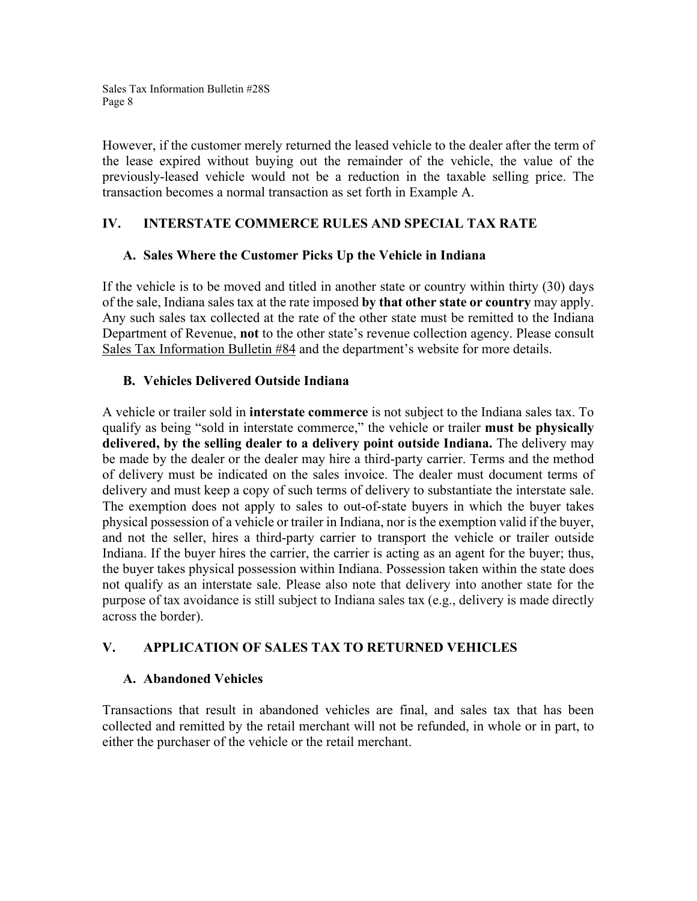However, if the customer merely returned the leased vehicle to the dealer after the term of the lease expired without buying out the remainder of the vehicle, the value of the previously-leased vehicle would not be a reduction in the taxable selling price. The transaction becomes a normal transaction as set forth in Example A.

## **IV. INTERSTATE COMMERCE RULES AND SPECIAL TAX RATE**

## **A. Sales Where the Customer Picks Up the Vehicle in Indiana**

If the vehicle is to be moved and titled in another state or country within thirty (30) days of the sale, Indiana sales tax at the rate imposed **by that other state or country** may apply. Any such sales tax collected at the rate of the other state must be remitted to the Indiana Department of Revenue, **not** to the other state's revenue collection agency. Please consult Sales Tax Information Bulletin #84 and the department's website for more details.

## **B. Vehicles Delivered Outside Indiana**

A vehicle or trailer sold in **interstate commerce** is not subject to the Indiana sales tax. To qualify as being "sold in interstate commerce," the vehicle or trailer **must be physically delivered, by the selling dealer to a delivery point outside Indiana.** The delivery may be made by the dealer or the dealer may hire a third-party carrier. Terms and the method of delivery must be indicated on the sales invoice. The dealer must document terms of delivery and must keep a copy of such terms of delivery to substantiate the interstate sale. The exemption does not apply to sales to out-of-state buyers in which the buyer takes physical possession of a vehicle or trailer in Indiana, nor is the exemption valid if the buyer, and not the seller, hires a third-party carrier to transport the vehicle or trailer outside Indiana. If the buyer hires the carrier, the carrier is acting as an agent for the buyer; thus, the buyer takes physical possession within Indiana. Possession taken within the state does not qualify as an interstate sale. Please also note that delivery into another state for the purpose of tax avoidance is still subject to Indiana sales tax (e.g., delivery is made directly across the border).

# **V. APPLICATION OF SALES TAX TO RETURNED VEHICLES**

## **A. Abandoned Vehicles**

Transactions that result in abandoned vehicles are final, and sales tax that has been collected and remitted by the retail merchant will not be refunded, in whole or in part, to either the purchaser of the vehicle or the retail merchant.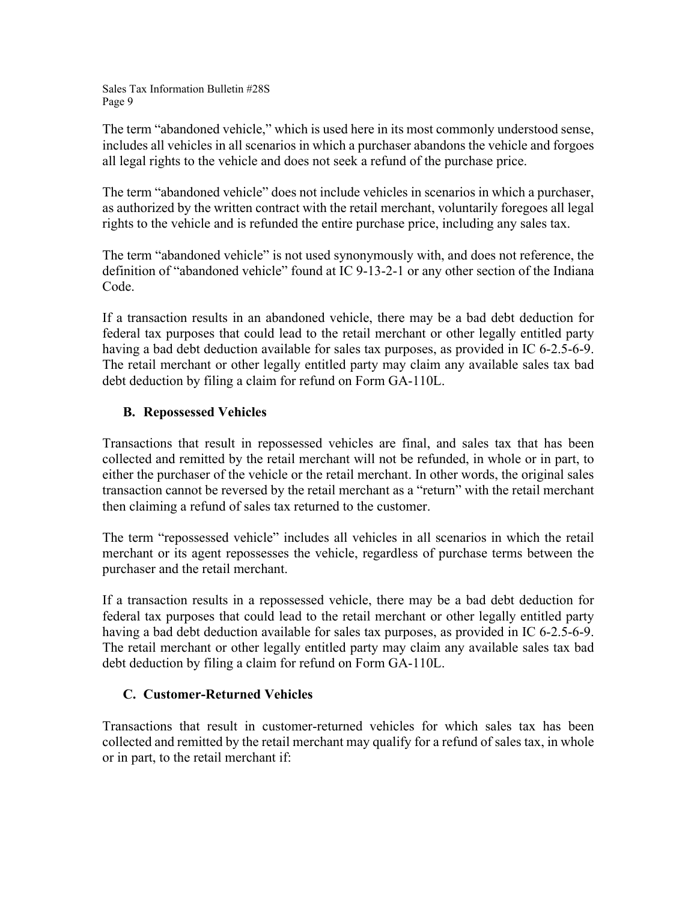The term "abandoned vehicle," which is used here in its most commonly understood sense, includes all vehicles in all scenarios in which a purchaser abandons the vehicle and forgoes all legal rights to the vehicle and does not seek a refund of the purchase price.

The term "abandoned vehicle" does not include vehicles in scenarios in which a purchaser, as authorized by the written contract with the retail merchant, voluntarily foregoes all legal rights to the vehicle and is refunded the entire purchase price, including any sales tax.

The term "abandoned vehicle" is not used synonymously with, and does not reference, the definition of "abandoned vehicle" found at IC 9-13-2-1 or any other section of the Indiana Code.

If a transaction results in an abandoned vehicle, there may be a bad debt deduction for federal tax purposes that could lead to the retail merchant or other legally entitled party having a bad debt deduction available for sales tax purposes, as provided in IC 6-2.5-6-9. The retail merchant or other legally entitled party may claim any available sales tax bad debt deduction by filing a claim for refund on Form GA-110L.

# **B. Repossessed Vehicles**

Transactions that result in repossessed vehicles are final, and sales tax that has been collected and remitted by the retail merchant will not be refunded, in whole or in part, to either the purchaser of the vehicle or the retail merchant. In other words, the original sales transaction cannot be reversed by the retail merchant as a "return" with the retail merchant then claiming a refund of sales tax returned to the customer.

The term "repossessed vehicle" includes all vehicles in all scenarios in which the retail merchant or its agent repossesses the vehicle, regardless of purchase terms between the purchaser and the retail merchant.

If a transaction results in a repossessed vehicle, there may be a bad debt deduction for federal tax purposes that could lead to the retail merchant or other legally entitled party having a bad debt deduction available for sales tax purposes, as provided in IC 6-2.5-6-9. The retail merchant or other legally entitled party may claim any available sales tax bad debt deduction by filing a claim for refund on Form GA-110L.

# **C. Customer-Returned Vehicles**

Transactions that result in customer-returned vehicles for which sales tax has been collected and remitted by the retail merchant may qualify for a refund of sales tax, in whole or in part, to the retail merchant if: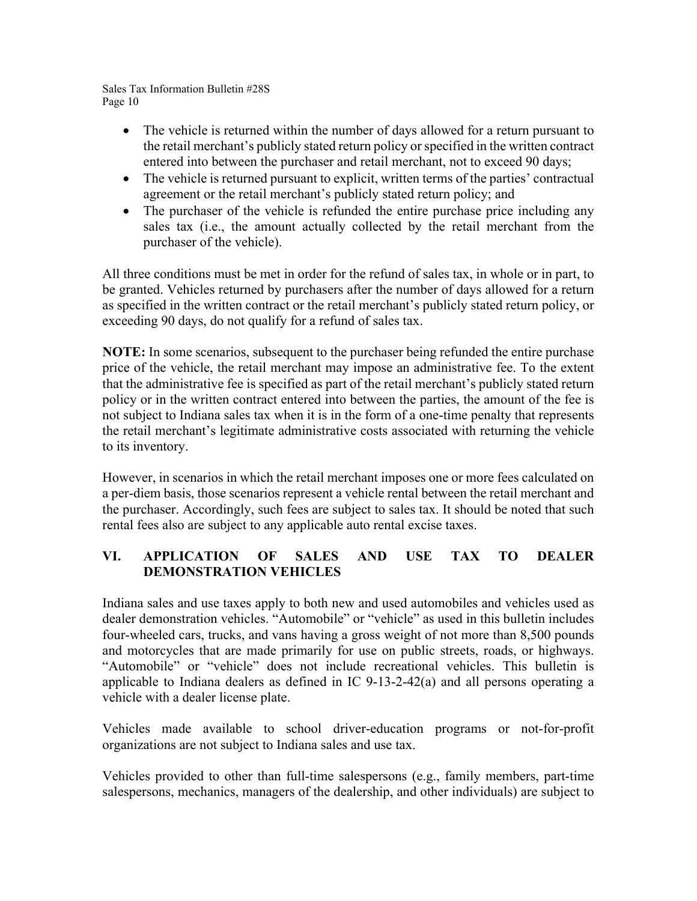- The vehicle is returned within the number of days allowed for a return pursuant to the retail merchant's publicly stated return policy or specified in the written contract entered into between the purchaser and retail merchant, not to exceed 90 days;
- The vehicle is returned pursuant to explicit, written terms of the parties' contractual agreement or the retail merchant's publicly stated return policy; and
- The purchaser of the vehicle is refunded the entire purchase price including any sales tax (i.e., the amount actually collected by the retail merchant from the purchaser of the vehicle).

All three conditions must be met in order for the refund of sales tax, in whole or in part, to be granted. Vehicles returned by purchasers after the number of days allowed for a return as specified in the written contract or the retail merchant's publicly stated return policy, or exceeding 90 days, do not qualify for a refund of sales tax.

**NOTE:** In some scenarios, subsequent to the purchaser being refunded the entire purchase price of the vehicle, the retail merchant may impose an administrative fee. To the extent that the administrative fee is specified as part of the retail merchant's publicly stated return policy or in the written contract entered into between the parties, the amount of the fee is not subject to Indiana sales tax when it is in the form of a one-time penalty that represents the retail merchant's legitimate administrative costs associated with returning the vehicle to its inventory.

However, in scenarios in which the retail merchant imposes one or more fees calculated on a per-diem basis, those scenarios represent a vehicle rental between the retail merchant and the purchaser. Accordingly, such fees are subject to sales tax. It should be noted that such rental fees also are subject to any applicable auto rental excise taxes.

# **VI. APPLICATION OF SALES AND USE TAX TO DEALER DEMONSTRATION VEHICLES**

Indiana sales and use taxes apply to both new and used automobiles and vehicles used as dealer demonstration vehicles. "Automobile" or "vehicle" as used in this bulletin includes four-wheeled cars, trucks, and vans having a gross weight of not more than 8,500 pounds and motorcycles that are made primarily for use on public streets, roads, or highways. "Automobile" or "vehicle" does not include recreational vehicles. This bulletin is applicable to Indiana dealers as defined in IC 9-13-2-42(a) and all persons operating a vehicle with a dealer license plate.

Vehicles made available to school driver-education programs or not-for-profit organizations are not subject to Indiana sales and use tax.

Vehicles provided to other than full-time salespersons (e.g., family members, part-time salespersons, mechanics, managers of the dealership, and other individuals) are subject to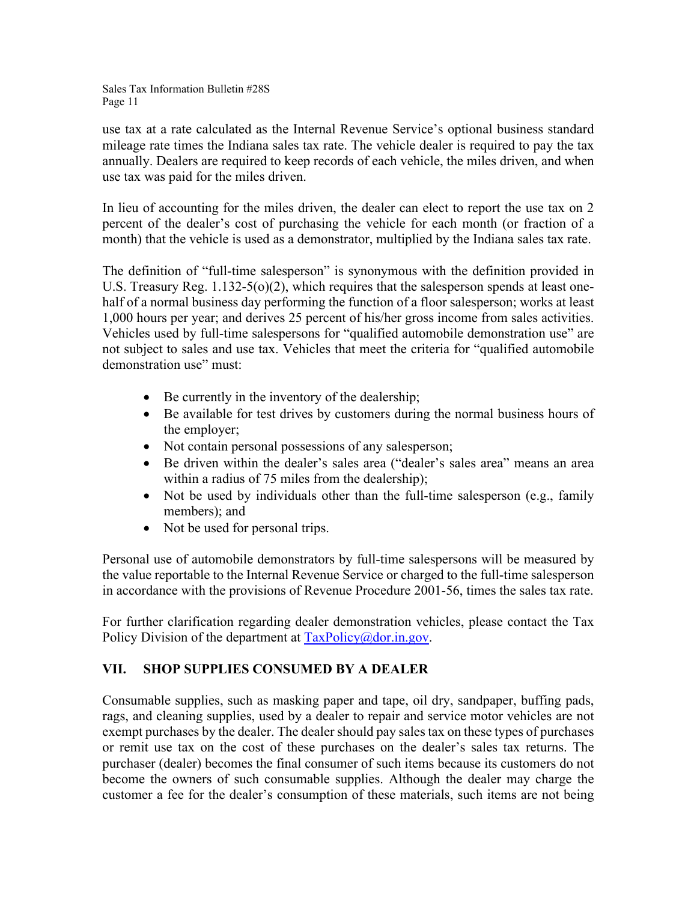use tax at a rate calculated as the Internal Revenue Service's optional business standard mileage rate times the Indiana sales tax rate. The vehicle dealer is required to pay the tax annually. Dealers are required to keep records of each vehicle, the miles driven, and when use tax was paid for the miles driven.

In lieu of accounting for the miles driven, the dealer can elect to report the use tax on 2 percent of the dealer's cost of purchasing the vehicle for each month (or fraction of a month) that the vehicle is used as a demonstrator, multiplied by the Indiana sales tax rate.

The definition of "full-time salesperson" is synonymous with the definition provided in U.S. Treasury Reg. 1.132-5(o)(2), which requires that the salesperson spends at least onehalf of a normal business day performing the function of a floor salesperson; works at least 1,000 hours per year; and derives 25 percent of his/her gross income from sales activities. Vehicles used by full-time salespersons for "qualified automobile demonstration use" are not subject to sales and use tax. Vehicles that meet the criteria for "qualified automobile demonstration use" must:

- Be currently in the inventory of the dealership;
- Be available for test drives by customers during the normal business hours of the employer;
- Not contain personal possessions of any salesperson;
- Be driven within the dealer's sales area ("dealer's sales area" means an area within a radius of 75 miles from the dealership);
- Not be used by individuals other than the full-time salesperson (e.g., family members); and
- Not be used for personal trips.

Personal use of automobile demonstrators by full-time salespersons will be measured by the value reportable to the Internal Revenue Service or charged to the full-time salesperson in accordance with the provisions of Revenue Procedure 2001-56, times the sales tax rate.

For further clarification regarding dealer demonstration vehicles, please contact the Tax Policy Division of the department at [TaxPolicy@dor.in.gov.](mailto:TaxPolicy@dor.in.gov)

# **VII. SHOP SUPPLIES CONSUMED BY A DEALER**

Consumable supplies, such as masking paper and tape, oil dry, sandpaper, buffing pads, rags, and cleaning supplies, used by a dealer to repair and service motor vehicles are not exempt purchases by the dealer. The dealer should pay sales tax on these types of purchases or remit use tax on the cost of these purchases on the dealer's sales tax returns. The purchaser (dealer) becomes the final consumer of such items because its customers do not become the owners of such consumable supplies. Although the dealer may charge the customer a fee for the dealer's consumption of these materials, such items are not being